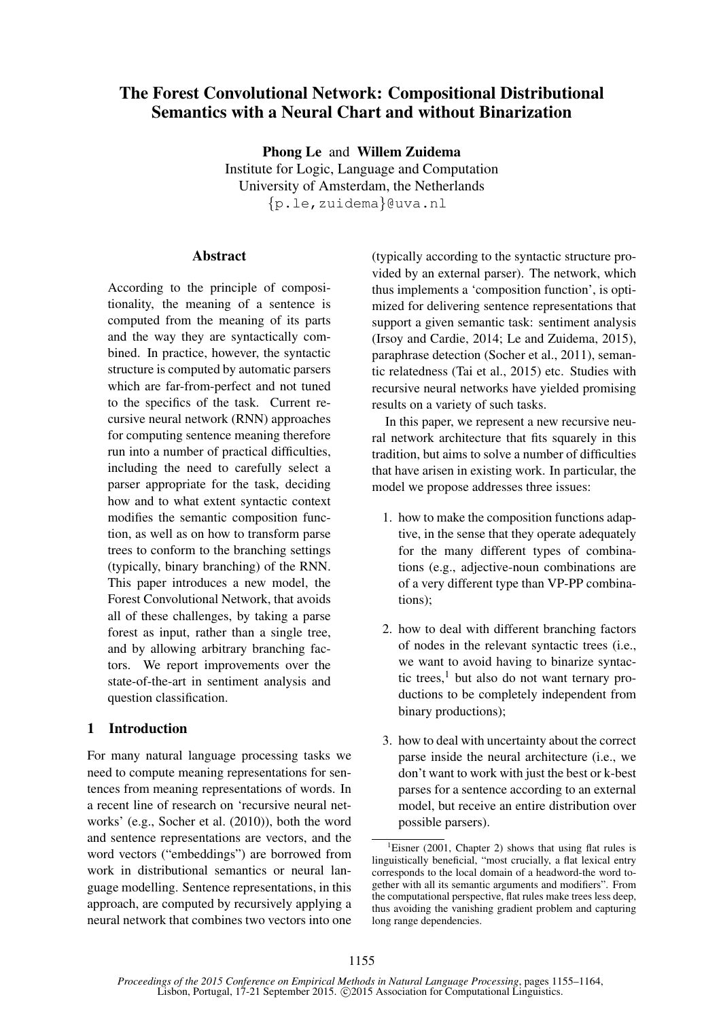# The Forest Convolutional Network: Compositional Distributional Semantics with a Neural Chart and without Binarization

Phong Le and Willem Zuidema Institute for Logic, Language and Computation University of Amsterdam, the Netherlands {p.le,zuidema}@uva.nl

## **Abstract**

According to the principle of compositionality, the meaning of a sentence is computed from the meaning of its parts and the way they are syntactically combined. In practice, however, the syntactic structure is computed by automatic parsers which are far-from-perfect and not tuned to the specifics of the task. Current recursive neural network (RNN) approaches for computing sentence meaning therefore run into a number of practical difficulties, including the need to carefully select a parser appropriate for the task, deciding how and to what extent syntactic context modifies the semantic composition function, as well as on how to transform parse trees to conform to the branching settings (typically, binary branching) of the RNN. This paper introduces a new model, the Forest Convolutional Network, that avoids all of these challenges, by taking a parse forest as input, rather than a single tree, and by allowing arbitrary branching factors. We report improvements over the state-of-the-art in sentiment analysis and question classification.

## 1 Introduction

For many natural language processing tasks we need to compute meaning representations for sentences from meaning representations of words. In a recent line of research on 'recursive neural networks' (e.g., Socher et al. (2010)), both the word and sentence representations are vectors, and the word vectors ("embeddings") are borrowed from work in distributional semantics or neural language modelling. Sentence representations, in this approach, are computed by recursively applying a neural network that combines two vectors into one

(typically according to the syntactic structure provided by an external parser). The network, which thus implements a 'composition function', is optimized for delivering sentence representations that support a given semantic task: sentiment analysis (Irsoy and Cardie, 2014; Le and Zuidema, 2015), paraphrase detection (Socher et al., 2011), semantic relatedness (Tai et al., 2015) etc. Studies with recursive neural networks have yielded promising results on a variety of such tasks.

In this paper, we represent a new recursive neural network architecture that fits squarely in this tradition, but aims to solve a number of difficulties that have arisen in existing work. In particular, the model we propose addresses three issues:

- 1. how to make the composition functions adaptive, in the sense that they operate adequately for the many different types of combinations (e.g., adjective-noun combinations are of a very different type than VP-PP combinations);
- 2. how to deal with different branching factors of nodes in the relevant syntactic trees (i.e., we want to avoid having to binarize syntactic trees, $<sup>1</sup>$  but also do not want ternary pro-</sup> ductions to be completely independent from binary productions);
- 3. how to deal with uncertainty about the correct parse inside the neural architecture (i.e., we don't want to work with just the best or k-best parses for a sentence according to an external model, but receive an entire distribution over possible parsers).

<sup>&</sup>lt;sup>1</sup>Eisner (2001, Chapter 2) shows that using flat rules is linguistically beneficial, "most crucially, a flat lexical entry corresponds to the local domain of a headword-the word together with all its semantic arguments and modifiers". From the computational perspective, flat rules make trees less deep, thus avoiding the vanishing gradient problem and capturing long range dependencies.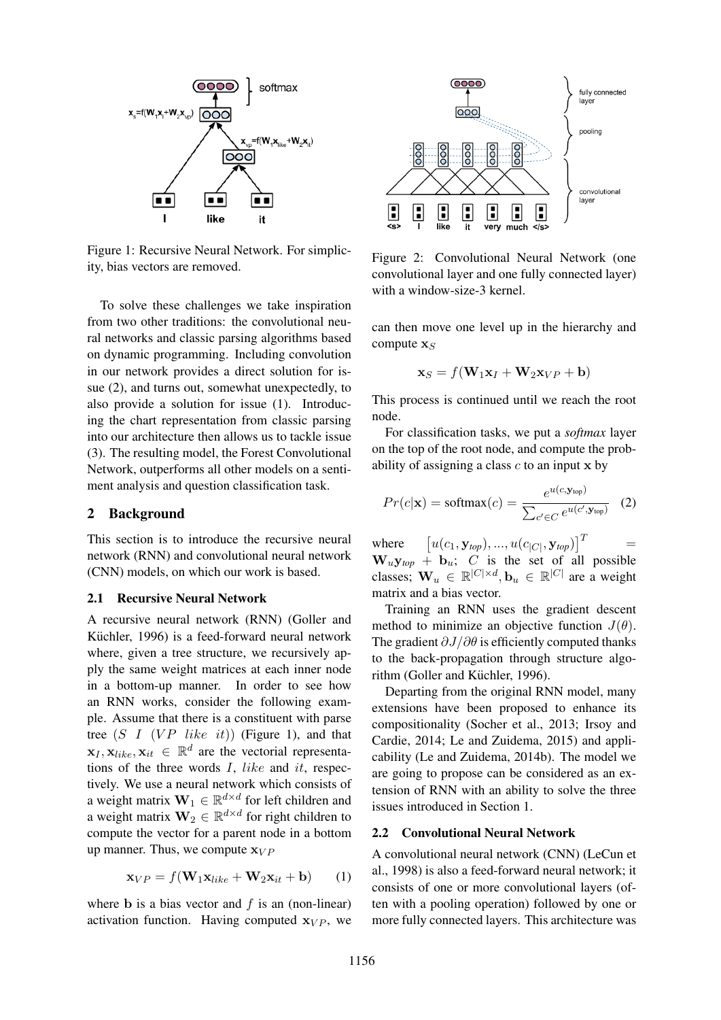

Figure 1: Recursive Neural Network. For simplicity, bias vectors are removed.

To solve these challenges we take inspiration from two other traditions: the convolutional neural networks and classic parsing algorithms based on dynamic programming. Including convolution in our network provides a direct solution for issue (2), and turns out, somewhat unexpectedly, to also provide a solution for issue (1). Introducing the chart representation from classic parsing into our architecture then allows us to tackle issue (3). The resulting model, the Forest Convolutional Network, outperforms all other models on a sentiment analysis and question classification task.

### 2 Background

This section is to introduce the recursive neural network (RNN) and convolutional neural network (CNN) models, on which our work is based.

#### 2.1 Recursive Neural Network

A recursive neural network (RNN) (Goller and Küchler, 1996) is a feed-forward neural network where, given a tree structure, we recursively apply the same weight matrices at each inner node in a bottom-up manner. In order to see how an RNN works, consider the following example. Assume that there is a constituent with parse tree  $(S \, I \, (VP \, like \, it))$  (Figure 1), and that  $\mathbf{x}_I, \mathbf{x}_{like}, \mathbf{x}_{it} \in \mathbb{R}^d$  are the vectorial representations of the three words  $I$ , like and it, respectively. We use a neural network which consists of a weight matrix  $\mathbf{W}_1 \in \mathbb{R}^{d \times d}$  for left children and a weight matrix  $\mathbf{W}_2 \in \mathbb{R}^{d \times d}$  for right children to compute the vector for a parent node in a bottom up manner. Thus, we compute  $\mathbf{x}_{VP}$ 

$$
\mathbf{x}_{VP} = f(\mathbf{W}_1 \mathbf{x}_{like} + \mathbf{W}_2 \mathbf{x}_{it} + \mathbf{b}) \qquad (1)
$$

where **b** is a bias vector and  $f$  is an (non-linear) activation function. Having computed  $x_{VP}$ , we



Figure 2: Convolutional Neural Network (one convolutional layer and one fully connected layer) with a window-size-3 kernel.

can then move one level up in the hierarchy and compute  $\mathbf{x}_S$ 

$$
\mathbf{x}_S = f(\mathbf{W}_1 \mathbf{x}_I + \mathbf{W}_2 \mathbf{x}_{VP} + \mathbf{b})
$$

This process is continued until we reach the root node.

For classification tasks, we put a *softmax* layer on the top of the root node, and compute the probability of assigning a class  $c$  to an input  $x$  by

$$
Pr(c|\mathbf{x}) = \text{softmax}(c) = \frac{e^{u(c, \mathbf{y}_{\text{top}})}}{\sum_{c' \in C} e^{u(c', \mathbf{y}_{\text{top}})}} \quad (2)
$$

where  $\left[u(c_1,\mathbf{y}_{top}),...,u(c_{|C|},\mathbf{y}_{top})\right]^T$  =  $W_u y_{top} + b_u$ ; C is the set of all possible classes;  $\mathbf{W}_u \in \mathbb{R}^{|C| \times d}$ ,  $\mathbf{b}_u \in \mathbb{R}^{|C|}$  are a weight matrix and a bias vector.

Training an RNN uses the gradient descent method to minimize an objective function  $J(\theta)$ . The gradient  $\partial J/\partial \theta$  is efficiently computed thanks to the back-propagation through structure algorithm (Goller and Küchler, 1996).

Departing from the original RNN model, many extensions have been proposed to enhance its compositionality (Socher et al., 2013; Irsoy and Cardie, 2014; Le and Zuidema, 2015) and applicability (Le and Zuidema, 2014b). The model we are going to propose can be considered as an extension of RNN with an ability to solve the three issues introduced in Section 1.

#### 2.2 Convolutional Neural Network

A convolutional neural network (CNN) (LeCun et al., 1998) is also a feed-forward neural network; it consists of one or more convolutional layers (often with a pooling operation) followed by one or more fully connected layers. This architecture was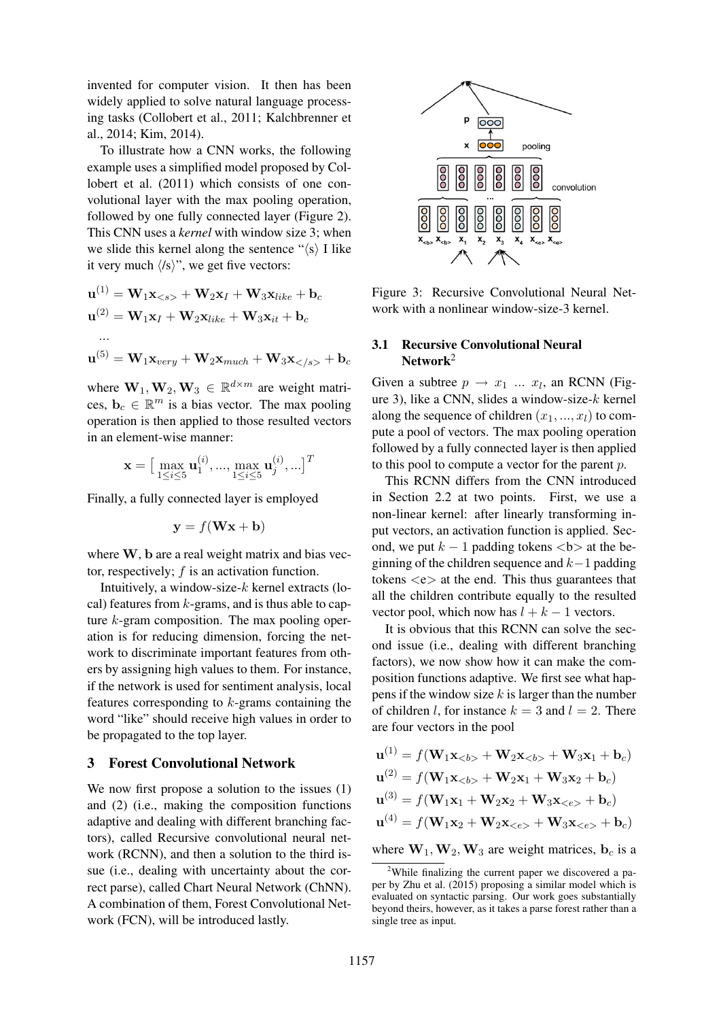invented for computer vision. It then has been widely applied to solve natural language processing tasks (Collobert et al., 2011; Kalchbrenner et al., 2014; Kim, 2014).

To illustrate how a CNN works, the following example uses a simplified model proposed by Collobert et al. (2011) which consists of one convolutional layer with the max pooling operation, followed by one fully connected layer (Figure 2). This CNN uses a *kernel* with window size 3; when we slide this kernel along the sentence " $\langle s \rangle$  I like it very much  $\langle \textit{fs} \rangle$ ", we get five vectors:

$$
\mathbf{u}^{(1)} = \mathbf{W}_1 \mathbf{x}_{< s>} + \mathbf{W}_2 \mathbf{x}_I + \mathbf{W}_3 \mathbf{x}_{like} + \mathbf{b}_c
$$
\n
$$
\mathbf{u}^{(2)} = \mathbf{W}_1 \mathbf{x}_I + \mathbf{W}_2 \mathbf{x}_{like} + \mathbf{W}_3 \mathbf{x}_{it} + \mathbf{b}_c
$$
\n...\n
$$
\mathbf{u}^{(5)} = \mathbf{W}_1 \mathbf{x}_{very} + \mathbf{W}_2 \mathbf{x}_{much} + \mathbf{W}_3 \mathbf{x}_{< / s>} + \mathbf{b}_c
$$

where  $W_1, W_2, W_3 \in \mathbb{R}^{d \times m}$  are weight matrices,  $\mathbf{b}_c \in \mathbb{R}^m$  is a bias vector. The max pooling operation is then applied to those resulted vectors in an element-wise manner:

$$
\mathbf{x} = \begin{bmatrix} \max_{1 \le i \le 5} \mathbf{u}_1^{(i)}, ..., \max_{1 \le i \le 5} \mathbf{u}_j^{(i)}, ... \end{bmatrix}^T
$$

Finally, a fully connected layer is employed

$$
\mathbf{y} = f(\mathbf{W}\mathbf{x} + \mathbf{b})
$$

where W, b are a real weight matrix and bias vector, respectively; f is an activation function.

Intuitively, a window-size- $k$  kernel extracts (local) features from  $k$ -grams, and is thus able to capture k-gram composition. The max pooling operation is for reducing dimension, forcing the network to discriminate important features from others by assigning high values to them. For instance, if the network is used for sentiment analysis, local features corresponding to  $k$ -grams containing the word "like" should receive high values in order to be propagated to the top layer.

## 3 Forest Convolutional Network

We now first propose a solution to the issues  $(1)$ and (2) (i.e., making the composition functions adaptive and dealing with different branching factors), called Recursive convolutional neural network (RCNN), and then a solution to the third issue (i.e., dealing with uncertainty about the correct parse), called Chart Neural Network (ChNN). A combination of them, Forest Convolutional Network (FCN), will be introduced lastly.



Figure 3: Recursive Convolutional Neural Network with a nonlinear window-size-3 kernel.

## 3.1 Recursive Convolutional Neural Network<sup>2</sup>

Given a subtree  $p \rightarrow x_1 \dots x_l$ , an RCNN (Figure 3), like a CNN, slides a window-size- $k$  kernel along the sequence of children  $(x_1, ..., x_l)$  to compute a pool of vectors. The max pooling operation followed by a fully connected layer is then applied to this pool to compute a vector for the parent p.

This RCNN differs from the CNN introduced in Section 2.2 at two points. First, we use a non-linear kernel: after linearly transforming input vectors, an activation function is applied. Second, we put  $k - 1$  padding tokens  $\langle b \rangle$  at the beginning of the children sequence and  $k-1$  padding tokens  $\langle e \rangle$  at the end. This thus guarantees that all the children contribute equally to the resulted vector pool, which now has  $l + k - 1$  vectors.

It is obvious that this RCNN can solve the second issue (i.e., dealing with different branching factors), we now show how it can make the composition functions adaptive. We first see what happens if the window size  $k$  is larger than the number of children *l*, for instance  $k = 3$  and  $l = 2$ . There are four vectors in the pool

$$
\mathbf{u}^{(1)} = f(\mathbf{W}_1 \mathbf{x}_{< b} + \mathbf{W}_2 \mathbf{x}_{< b} + \mathbf{W}_3 \mathbf{x}_1 + \mathbf{b}_c)
$$
\n
$$
\mathbf{u}^{(2)} = f(\mathbf{W}_1 \mathbf{x}_{< b} + \mathbf{W}_2 \mathbf{x}_1 + \mathbf{W}_3 \mathbf{x}_2 + \mathbf{b}_c)
$$
\n
$$
\mathbf{u}^{(3)} = f(\mathbf{W}_1 \mathbf{x}_1 + \mathbf{W}_2 \mathbf{x}_2 + \mathbf{W}_3 \mathbf{x}_{< e} + \mathbf{b}_c)
$$
\n
$$
\mathbf{u}^{(4)} = f(\mathbf{W}_1 \mathbf{x}_2 + \mathbf{W}_2 \mathbf{x}_{< e} + \mathbf{W}_3 \mathbf{x}_{< e} + \mathbf{b}_c)
$$

where  $W_1, W_2, W_3$  are weight matrices,  $b_c$  is a

<sup>&</sup>lt;sup>2</sup>While finalizing the current paper we discovered a paper by Zhu et al. (2015) proposing a similar model which is evaluated on syntactic parsing. Our work goes substantially beyond theirs, however, as it takes a parse forest rather than a single tree as input.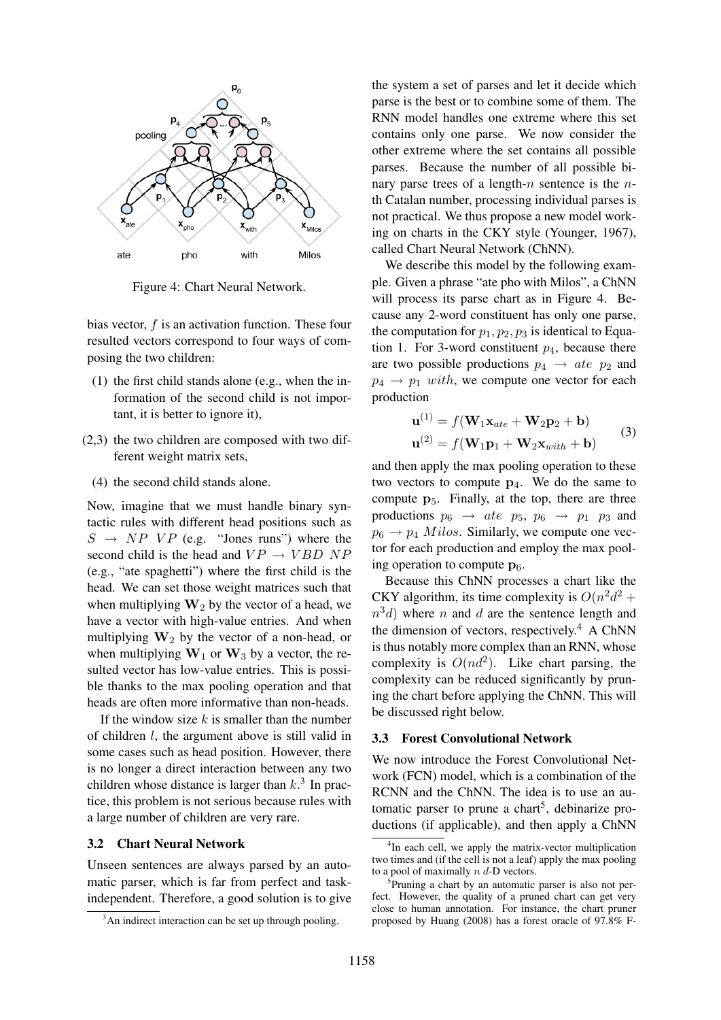

Figure 4: Chart Neural Network.

bias vector,  $f$  is an activation function. These four resulted vectors correspond to four ways of composing the two children:

- (1) the first child stands alone (e.g., when the information of the second child is not important, it is better to ignore it),
- (2,3) the two children are composed with two different weight matrix sets,
	- (4) the second child stands alone.

Now, imagine that we must handle binary syntactic rules with different head positions such as  $S \rightarrow NP VP$  (e.g. "Jones runs") where the second child is the head and  $VP \rightarrow VBD \ NP$ (e.g., "ate spaghetti") where the first child is the head. We can set those weight matrices such that when multiplying  $W_2$  by the vector of a head, we have a vector with high-value entries. And when multiplying  $W_2$  by the vector of a non-head, or when multiplying  $W_1$  or  $W_3$  by a vector, the resulted vector has low-value entries. This is possible thanks to the max pooling operation and that heads are often more informative than non-heads.

If the window size  $k$  is smaller than the number of children l, the argument above is still valid in some cases such as head position. However, there is no longer a direct interaction between any two children whose distance is larger than  $k<sup>3</sup>$ . In practice, this problem is not serious because rules with a large number of children are very rare.

### 3.2 Chart Neural Network

Unseen sentences are always parsed by an automatic parser, which is far from perfect and taskindependent. Therefore, a good solution is to give the system a set of parses and let it decide which parse is the best or to combine some of them. The RNN model handles one extreme where this set contains only one parse. We now consider the other extreme where the set contains all possible parses. Because the number of all possible binary parse trees of a length- $n$  sentence is the  $n$ th Catalan number, processing individual parses is not practical. We thus propose a new model working on charts in the CKY style (Younger, 1967), called Chart Neural Network (ChNN).

We describe this model by the following example. Given a phrase "ate pho with Milos", a ChNN will process its parse chart as in Figure 4. Because any 2-word constituent has only one parse, the computation for  $p_1, p_2, p_3$  is identical to Equation 1. For 3-word constituent  $p_4$ , because there are two possible productions  $p_4 \rightarrow a t e \, p_2$  and  $p_4 \rightarrow p_1$  with, we compute one vector for each production

$$
\mathbf{u}^{(1)} = f(\mathbf{W}_1 \mathbf{x}_{ate} + \mathbf{W}_2 \mathbf{p}_2 + \mathbf{b})
$$
  

$$
\mathbf{u}^{(2)} = f(\mathbf{W}_1 \mathbf{p}_1 + \mathbf{W}_2 \mathbf{x}_{with} + \mathbf{b})
$$
 (3)

and then apply the max pooling operation to these two vectors to compute  $p_4$ . We do the same to compute  $p_5$ . Finally, at the top, there are three productions  $p_6 \rightarrow ate$   $p_5$ ,  $p_6 \rightarrow p_1$   $p_3$  and  $p_6 \rightarrow p_4$  *Milos.* Similarly, we compute one vector for each production and employ the max pooling operation to compute  $p_6$ .

Because this ChNN processes a chart like the CKY algorithm, its time complexity is  $O(n^2d^2 +$  $n^3d$ ) where n and d are the sentence length and the dimension of vectors, respectively.<sup>4</sup> A ChNN is thus notably more complex than an RNN, whose complexity is  $O(nd^2)$ . Like chart parsing, the complexity can be reduced significantly by pruning the chart before applying the ChNN. This will be discussed right below.

#### 3.3 Forest Convolutional Network

We now introduce the Forest Convolutional Network (FCN) model, which is a combination of the RCNN and the ChNN. The idea is to use an automatic parser to prune a chart<sup>5</sup>, debinarize productions (if applicable), and then apply a ChNN

<sup>&</sup>lt;sup>3</sup>An indirect interaction can be set up through pooling.

<sup>&</sup>lt;sup>4</sup>In each cell, we apply the matrix-vector multiplication two times and (if the cell is not a leaf) apply the max pooling to a pool of maximally  $n d$ -D vectors.

<sup>5</sup> Pruning a chart by an automatic parser is also not perfect. However, the quality of a pruned chart can get very close to human annotation. For instance, the chart pruner proposed by Huang (2008) has a forest oracle of 97.8% F-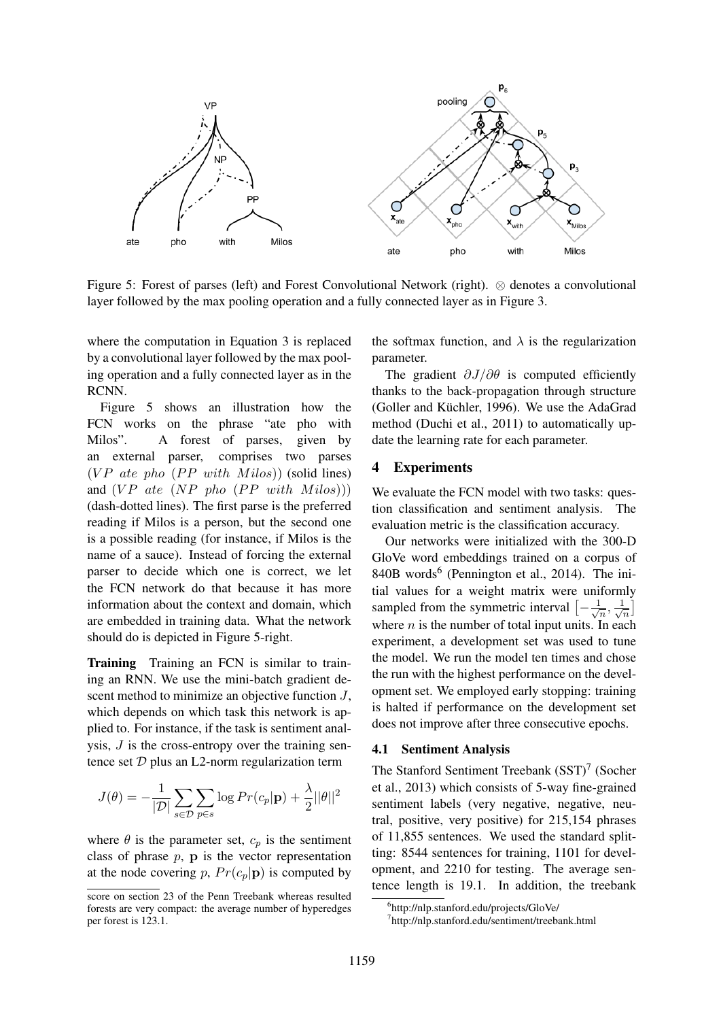

Figure 5: Forest of parses (left) and Forest Convolutional Network (right). ⊗ denotes a convolutional layer followed by the max pooling operation and a fully connected layer as in Figure 3.

where the computation in Equation 3 is replaced by a convolutional layer followed by the max pooling operation and a fully connected layer as in the RCNN.

Figure 5 shows an illustration how the FCN works on the phrase "ate pho with Milos". A forest of parses, given by an external parser, comprises two parses ( $VP$  ate pho ( $PP$  with Milos)) (solid lines) and  $(VP$  ate  $(NP$  pho  $(PP$  with  $Milos))$ (dash-dotted lines). The first parse is the preferred reading if Milos is a person, but the second one is a possible reading (for instance, if Milos is the name of a sauce). Instead of forcing the external parser to decide which one is correct, we let the FCN network do that because it has more information about the context and domain, which are embedded in training data. What the network should do is depicted in Figure 5-right.

Training Training an FCN is similar to training an RNN. We use the mini-batch gradient descent method to minimize an objective function  $J$ , which depends on which task this network is applied to. For instance, if the task is sentiment analysis,  $J$  is the cross-entropy over the training sentence set  $D$  plus an L2-norm regularization term

$$
J(\theta) = -\frac{1}{|\mathcal{D}|} \sum_{s \in \mathcal{D}} \sum_{p \in s} \log Pr(c_p | \mathbf{p}) + \frac{\lambda}{2} ||\theta||^2
$$

where  $\theta$  is the parameter set,  $c_p$  is the sentiment class of phrase  $p$ ,  $p$  is the vector representation at the node covering p,  $Pr(c_p|\mathbf{p})$  is computed by

the softmax function, and  $\lambda$  is the regularization parameter.

The gradient  $\partial J/\partial \theta$  is computed efficiently thanks to the back-propagation through structure (Goller and Küchler, 1996). We use the AdaGrad method (Duchi et al., 2011) to automatically update the learning rate for each parameter.

## 4 Experiments

We evaluate the FCN model with two tasks: question classification and sentiment analysis. The evaluation metric is the classification accuracy.

Our networks were initialized with the 300-D GloVe word embeddings trained on a corpus of 840B words<sup>6</sup> (Pennington et al., 2014). The initial values for a weight matrix were uniformly sampled from the symmetric interval  $\left[-\frac{1}{\sqrt{2}}\right]$  $\frac{1}{\overline{n}}, \frac{1}{\sqrt{2}}$  $\frac{1}{n}$ where  $n$  is the number of total input units. In each experiment, a development set was used to tune the model. We run the model ten times and chose the run with the highest performance on the development set. We employed early stopping: training is halted if performance on the development set does not improve after three consecutive epochs.

## 4.1 Sentiment Analysis

The Stanford Sentiment Treebank  $(SST)^7$  (Socher et al., 2013) which consists of 5-way fine-grained sentiment labels (very negative, negative, neutral, positive, very positive) for 215,154 phrases of 11,855 sentences. We used the standard splitting: 8544 sentences for training, 1101 for development, and 2210 for testing. The average sentence length is 19.1. In addition, the treebank

score on section 23 of the Penn Treebank whereas resulted forests are very compact: the average number of hyperedges per forest is 123.1.

<sup>6</sup> http://nlp.stanford.edu/projects/GloVe/

<sup>7</sup> http://nlp.stanford.edu/sentiment/treebank.html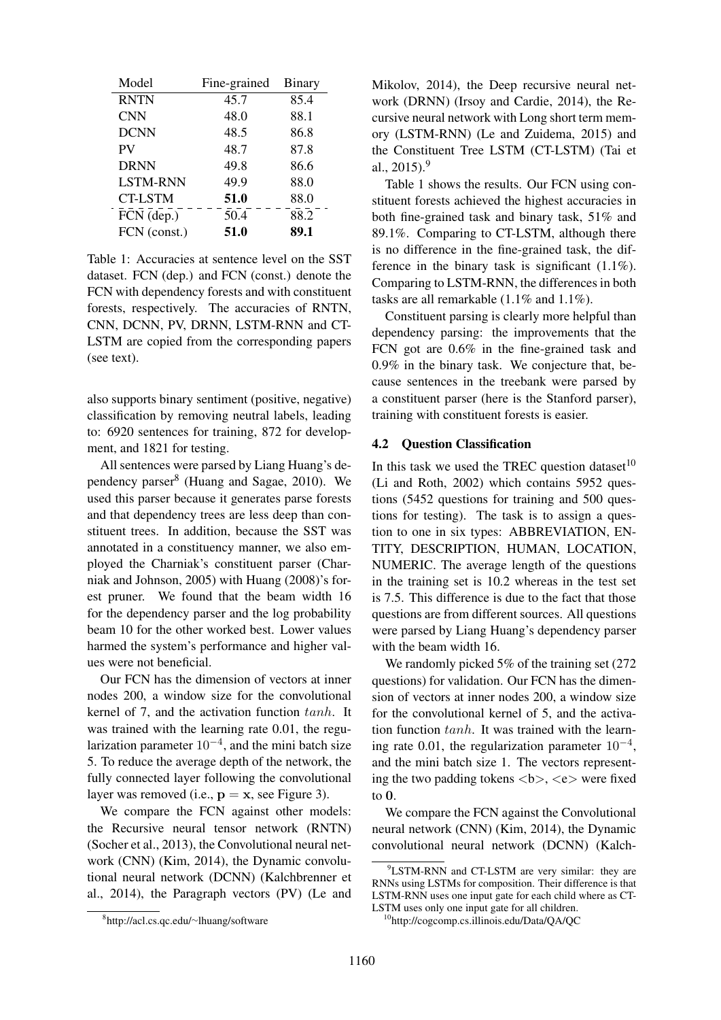| Model           | Fine-grained | <b>Binary</b> |
|-----------------|--------------|---------------|
| <b>RNTN</b>     | 45.7         | 85.4          |
| <b>CNN</b>      | 48.0         | 88.1          |
| <b>DCNN</b>     | 48.5         | 86.8          |
| PV              | 48.7         | 87.8          |
| <b>DRNN</b>     | 49.8         | 86.6          |
| <b>LSTM-RNN</b> | 49.9         | 88.0          |
| <b>CT-LSTM</b>  | 51.0         | 88.0          |
| FCN (dep.)      | 50.4         | 88.2          |
| FCN (const.)    | 51.0         | 89.1          |

Table 1: Accuracies at sentence level on the SST dataset. FCN (dep.) and FCN (const.) denote the FCN with dependency forests and with constituent forests, respectively. The accuracies of RNTN, CNN, DCNN, PV, DRNN, LSTM-RNN and CT-LSTM are copied from the corresponding papers (see text).

also supports binary sentiment (positive, negative) classification by removing neutral labels, leading to: 6920 sentences for training, 872 for development, and 1821 for testing.

All sentences were parsed by Liang Huang's dependency parser<sup>8</sup> (Huang and Sagae, 2010). We used this parser because it generates parse forests and that dependency trees are less deep than constituent trees. In addition, because the SST was annotated in a constituency manner, we also employed the Charniak's constituent parser (Charniak and Johnson, 2005) with Huang (2008)'s forest pruner. We found that the beam width 16 for the dependency parser and the log probability beam 10 for the other worked best. Lower values harmed the system's performance and higher values were not beneficial.

Our FCN has the dimension of vectors at inner nodes 200, a window size for the convolutional kernel of 7, and the activation function tanh. It was trained with the learning rate 0.01, the regularization parameter  $10^{-4}$ , and the mini batch size 5. To reduce the average depth of the network, the fully connected layer following the convolutional layer was removed (i.e.,  $\mathbf{p} = \mathbf{x}$ , see Figure 3).

We compare the FCN against other models: the Recursive neural tensor network (RNTN) (Socher et al., 2013), the Convolutional neural network (CNN) (Kim, 2014), the Dynamic convolutional neural network (DCNN) (Kalchbrenner et al., 2014), the Paragraph vectors (PV) (Le and

Mikolov, 2014), the Deep recursive neural network (DRNN) (Irsoy and Cardie, 2014), the Recursive neural network with Long short term memory (LSTM-RNN) (Le and Zuidema, 2015) and the Constituent Tree LSTM (CT-LSTM) (Tai et al.,  $2015$ .<sup>9</sup>

Table 1 shows the results. Our FCN using constituent forests achieved the highest accuracies in both fine-grained task and binary task, 51% and 89.1%. Comparing to CT-LSTM, although there is no difference in the fine-grained task, the difference in the binary task is significant (1.1%). Comparing to LSTM-RNN, the differences in both tasks are all remarkable (1.1% and 1.1%).

Constituent parsing is clearly more helpful than dependency parsing: the improvements that the FCN got are 0.6% in the fine-grained task and 0.9% in the binary task. We conjecture that, because sentences in the treebank were parsed by a constituent parser (here is the Stanford parser), training with constituent forests is easier.

#### 4.2 Question Classification

In this task we used the TREC question dataset $10$ (Li and Roth, 2002) which contains 5952 questions (5452 questions for training and 500 questions for testing). The task is to assign a question to one in six types: ABBREVIATION, EN-TITY, DESCRIPTION, HUMAN, LOCATION, NUMERIC. The average length of the questions in the training set is 10.2 whereas in the test set is 7.5. This difference is due to the fact that those questions are from different sources. All questions were parsed by Liang Huang's dependency parser with the beam width 16.

We randomly picked 5% of the training set (272) questions) for validation. Our FCN has the dimension of vectors at inner nodes 200, a window size for the convolutional kernel of 5, and the activation function  $tanh$ . It was trained with the learning rate 0.01, the regularization parameter  $10^{-4}$ , and the mini batch size 1. The vectors representing the two padding tokens **,**  $**8**$  **were fixed** to 0.

We compare the FCN against the Convolutional neural network (CNN) (Kim, 2014), the Dynamic convolutional neural network (DCNN) (Kalch-

<sup>8</sup> http://acl.cs.qc.edu/∼lhuang/software

<sup>&</sup>lt;sup>9</sup>LSTM-RNN and CT-LSTM are very similar: they are RNNs using LSTMs for composition. Their difference is that LSTM-RNN uses one input gate for each child where as CT-LSTM uses only one input gate for all children.

<sup>10</sup>http://cogcomp.cs.illinois.edu/Data/QA/QC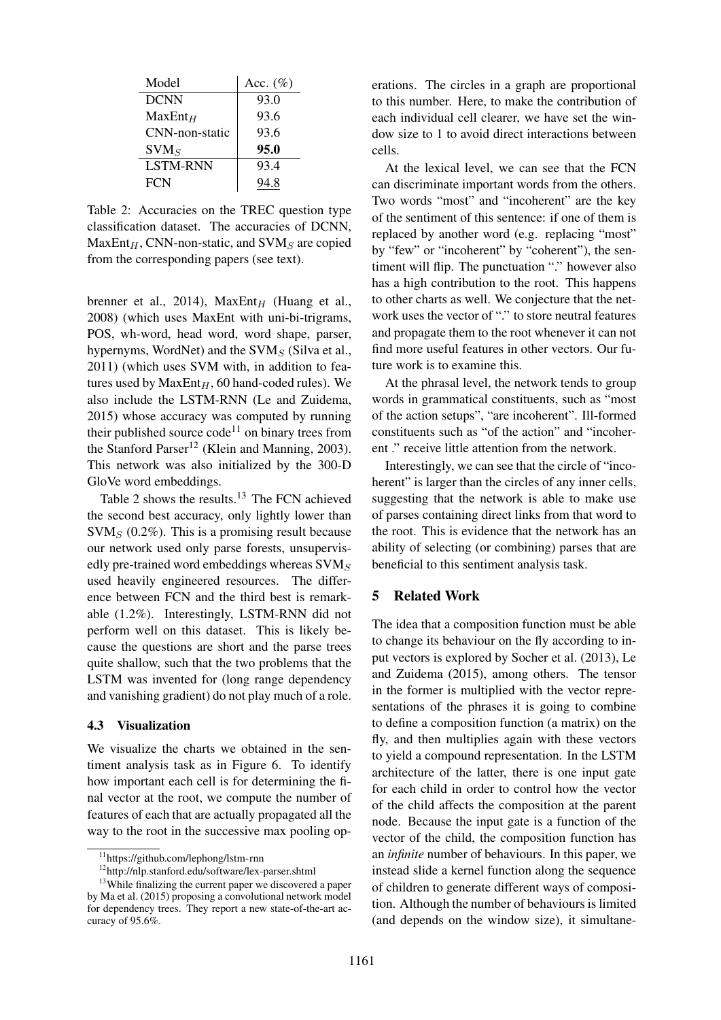| Model            | Acc. $(\%)$ |
|------------------|-------------|
| <b>DCNN</b>      | 93.0        |
| $MaxEnt_H$       | 93.6        |
| CNN-non-static   | 93.6        |
| SVM <sub>S</sub> | 95.0        |
| <b>LSTM-RNN</b>  | 93.4        |
| <b>FCN</b>       | 94.8        |

Table 2: Accuracies on the TREC question type classification dataset. The accuracies of DCNN,  $MaxEnt_H$ , CNN-non-static, and SVM<sub>S</sub> are copied from the corresponding papers (see text).

brenner et al., 2014),  $MaxEnt_H$  (Huang et al., 2008) (which uses MaxEnt with uni-bi-trigrams, POS, wh-word, head word, word shape, parser, hypernyms, WordNet) and the  $SVM<sub>S</sub>$  (Silva et al., 2011) (which uses SVM with, in addition to features used by  $MaxEnt_H$ , 60 hand-coded rules). We also include the LSTM-RNN (Le and Zuidema, 2015) whose accuracy was computed by running their published source  $\text{code}^{11}$  on binary trees from the Stanford Parser<sup>12</sup> (Klein and Manning, 2003). This network was also initialized by the 300-D GloVe word embeddings.

Table 2 shows the results.<sup>13</sup> The FCN achieved the second best accuracy, only lightly lower than  $\text{SVM}_S$  (0.2%). This is a promising result because our network used only parse forests, unsupervisedly pre-trained word embeddings whereas  $\text{SVM}_S$ used heavily engineered resources. The difference between FCN and the third best is remarkable (1.2%). Interestingly, LSTM-RNN did not perform well on this dataset. This is likely because the questions are short and the parse trees quite shallow, such that the two problems that the LSTM was invented for (long range dependency and vanishing gradient) do not play much of a role.

### 4.3 Visualization

We visualize the charts we obtained in the sentiment analysis task as in Figure 6. To identify how important each cell is for determining the final vector at the root, we compute the number of features of each that are actually propagated all the way to the root in the successive max pooling operations. The circles in a graph are proportional to this number. Here, to make the contribution of each individual cell clearer, we have set the window size to 1 to avoid direct interactions between cells.

At the lexical level, we can see that the FCN can discriminate important words from the others. Two words "most" and "incoherent" are the key of the sentiment of this sentence: if one of them is replaced by another word (e.g. replacing "most" by "few" or "incoherent" by "coherent"), the sentiment will flip. The punctuation "." however also has a high contribution to the root. This happens to other charts as well. We conjecture that the network uses the vector of "." to store neutral features and propagate them to the root whenever it can not find more useful features in other vectors. Our future work is to examine this.

At the phrasal level, the network tends to group words in grammatical constituents, such as "most of the action setups", "are incoherent". Ill-formed constituents such as "of the action" and "incoherent ." receive little attention from the network.

Interestingly, we can see that the circle of "incoherent" is larger than the circles of any inner cells, suggesting that the network is able to make use of parses containing direct links from that word to the root. This is evidence that the network has an ability of selecting (or combining) parses that are beneficial to this sentiment analysis task.

## 5 Related Work

The idea that a composition function must be able to change its behaviour on the fly according to input vectors is explored by Socher et al. (2013), Le and Zuidema (2015), among others. The tensor in the former is multiplied with the vector representations of the phrases it is going to combine to define a composition function (a matrix) on the fly, and then multiplies again with these vectors to yield a compound representation. In the LSTM architecture of the latter, there is one input gate for each child in order to control how the vector of the child affects the composition at the parent node. Because the input gate is a function of the vector of the child, the composition function has an *infinite* number of behaviours. In this paper, we instead slide a kernel function along the sequence of children to generate different ways of composition. Although the number of behaviours is limited (and depends on the window size), it simultane-

<sup>11</sup>https://github.com/lephong/lstm-rnn

<sup>12</sup>http://nlp.stanford.edu/software/lex-parser.shtml

<sup>&</sup>lt;sup>13</sup>While finalizing the current paper we discovered a paper by Ma et al. (2015) proposing a convolutional network model for dependency trees. They report a new state-of-the-art accuracy of 95.6%.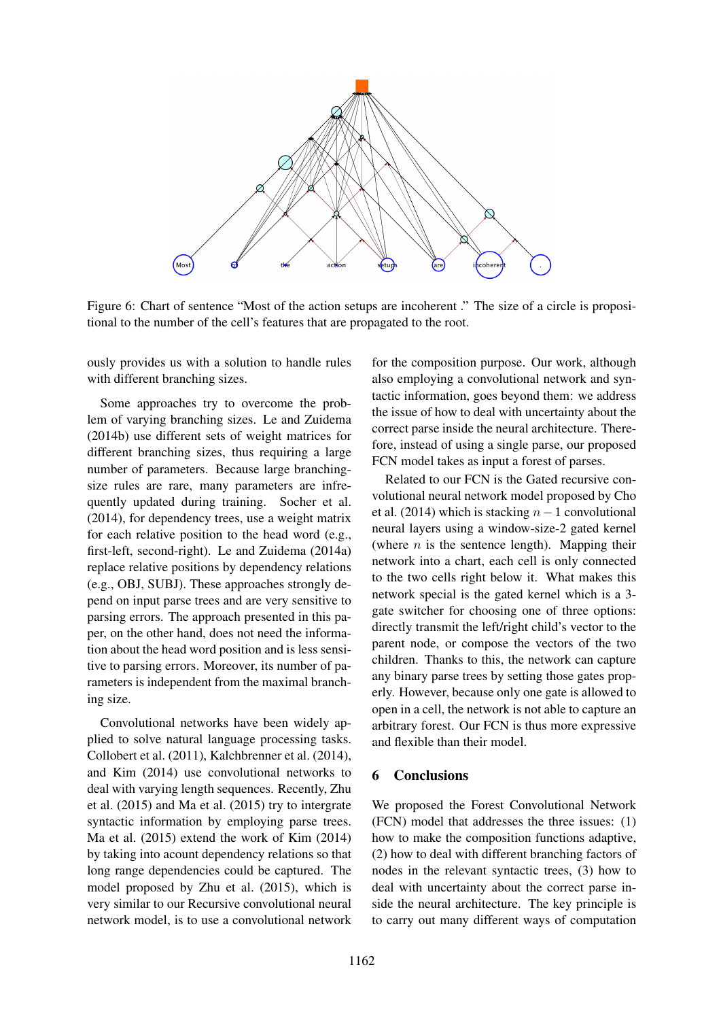

Figure 6: Chart of sentence "Most of the action setups are incoherent ." The size of a circle is propositional to the number of the cell's features that are propagated to the root.

ously provides us with a solution to handle rules with different branching sizes.

Some approaches try to overcome the problem of varying branching sizes. Le and Zuidema (2014b) use different sets of weight matrices for different branching sizes, thus requiring a large number of parameters. Because large branchingsize rules are rare, many parameters are infrequently updated during training. Socher et al. (2014), for dependency trees, use a weight matrix for each relative position to the head word (e.g., first-left, second-right). Le and Zuidema (2014a) replace relative positions by dependency relations (e.g., OBJ, SUBJ). These approaches strongly depend on input parse trees and are very sensitive to parsing errors. The approach presented in this paper, on the other hand, does not need the information about the head word position and is less sensitive to parsing errors. Moreover, its number of parameters is independent from the maximal branching size.

Convolutional networks have been widely applied to solve natural language processing tasks. Collobert et al. (2011), Kalchbrenner et al. (2014), and Kim (2014) use convolutional networks to deal with varying length sequences. Recently, Zhu et al. (2015) and Ma et al. (2015) try to intergrate syntactic information by employing parse trees. Ma et al. (2015) extend the work of Kim (2014) by taking into acount dependency relations so that long range dependencies could be captured. The model proposed by Zhu et al. (2015), which is very similar to our Recursive convolutional neural network model, is to use a convolutional network

for the composition purpose. Our work, although also employing a convolutional network and syntactic information, goes beyond them: we address the issue of how to deal with uncertainty about the correct parse inside the neural architecture. Therefore, instead of using a single parse, our proposed FCN model takes as input a forest of parses.

Related to our FCN is the Gated recursive convolutional neural network model proposed by Cho et al. (2014) which is stacking  $n-1$  convolutional neural layers using a window-size-2 gated kernel (where  $n$  is the sentence length). Mapping their network into a chart, each cell is only connected to the two cells right below it. What makes this network special is the gated kernel which is a 3 gate switcher for choosing one of three options: directly transmit the left/right child's vector to the parent node, or compose the vectors of the two children. Thanks to this, the network can capture any binary parse trees by setting those gates properly. However, because only one gate is allowed to open in a cell, the network is not able to capture an arbitrary forest. Our FCN is thus more expressive and flexible than their model.

## 6 Conclusions

We proposed the Forest Convolutional Network (FCN) model that addresses the three issues: (1) how to make the composition functions adaptive, (2) how to deal with different branching factors of nodes in the relevant syntactic trees, (3) how to deal with uncertainty about the correct parse inside the neural architecture. The key principle is to carry out many different ways of computation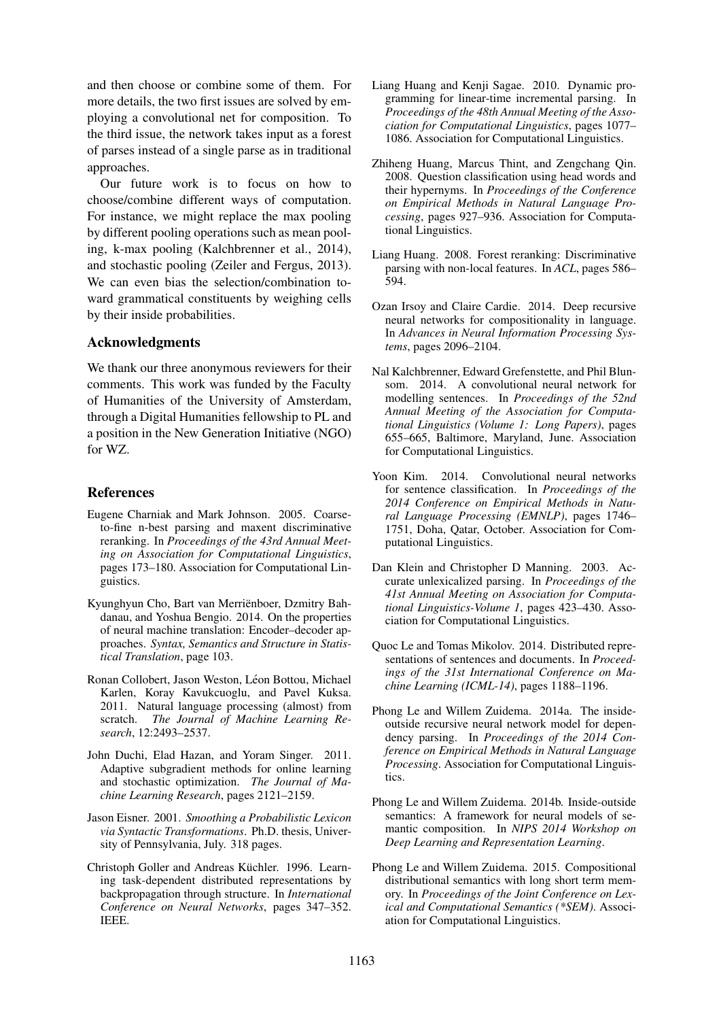and then choose or combine some of them. For more details, the two first issues are solved by employing a convolutional net for composition. To the third issue, the network takes input as a forest of parses instead of a single parse as in traditional approaches.

Our future work is to focus on how to choose/combine different ways of computation. For instance, we might replace the max pooling by different pooling operations such as mean pooling, k-max pooling (Kalchbrenner et al., 2014), and stochastic pooling (Zeiler and Fergus, 2013). We can even bias the selection/combination toward grammatical constituents by weighing cells by their inside probabilities.

#### Acknowledgments

We thank our three anonymous reviewers for their comments. This work was funded by the Faculty of Humanities of the University of Amsterdam, through a Digital Humanities fellowship to PL and a position in the New Generation Initiative (NGO) for WZ.

### References

- Eugene Charniak and Mark Johnson. 2005. Coarseto-fine n-best parsing and maxent discriminative reranking. In *Proceedings of the 43rd Annual Meeting on Association for Computational Linguistics*, pages 173–180. Association for Computational Linguistics.
- Kyunghyun Cho, Bart van Merrienboer, Dzmitry Bah- ¨ danau, and Yoshua Bengio. 2014. On the properties of neural machine translation: Encoder–decoder approaches. *Syntax, Semantics and Structure in Statistical Translation*, page 103.
- Ronan Collobert, Jason Weston, Léon Bottou, Michael Karlen, Koray Kavukcuoglu, and Pavel Kuksa. 2011. Natural language processing (almost) from scratch. *The Journal of Machine Learning Research*, 12:2493–2537.
- John Duchi, Elad Hazan, and Yoram Singer. 2011. Adaptive subgradient methods for online learning and stochastic optimization. *The Journal of Machine Learning Research*, pages 2121–2159.
- Jason Eisner. 2001. *Smoothing a Probabilistic Lexicon via Syntactic Transformations*. Ph.D. thesis, University of Pennsylvania, July. 318 pages.
- Christoph Goller and Andreas Küchler. 1996. Learning task-dependent distributed representations by backpropagation through structure. In *International Conference on Neural Networks*, pages 347–352. IEEE.
- Liang Huang and Kenii Sagae. 2010. Dynamic programming for linear-time incremental parsing. In *Proceedings of the 48th Annual Meeting of the Association for Computational Linguistics*, pages 1077– 1086. Association for Computational Linguistics.
- Zhiheng Huang, Marcus Thint, and Zengchang Qin. 2008. Question classification using head words and their hypernyms. In *Proceedings of the Conference on Empirical Methods in Natural Language Processing*, pages 927–936. Association for Computational Linguistics.
- Liang Huang. 2008. Forest reranking: Discriminative parsing with non-local features. In *ACL*, pages 586– 594.
- Ozan Irsoy and Claire Cardie. 2014. Deep recursive neural networks for compositionality in language. In *Advances in Neural Information Processing Systems*, pages 2096–2104.
- Nal Kalchbrenner, Edward Grefenstette, and Phil Blunsom. 2014. A convolutional neural network for modelling sentences. In *Proceedings of the 52nd Annual Meeting of the Association for Computational Linguistics (Volume 1: Long Papers)*, pages 655–665, Baltimore, Maryland, June. Association for Computational Linguistics.
- Yoon Kim. 2014. Convolutional neural networks for sentence classification. In *Proceedings of the 2014 Conference on Empirical Methods in Natural Language Processing (EMNLP)*, pages 1746– 1751, Doha, Qatar, October. Association for Computational Linguistics.
- Dan Klein and Christopher D Manning. 2003. Accurate unlexicalized parsing. In *Proceedings of the 41st Annual Meeting on Association for Computational Linguistics-Volume 1*, pages 423–430. Association for Computational Linguistics.
- Quoc Le and Tomas Mikolov. 2014. Distributed representations of sentences and documents. In *Proceedings of the 31st International Conference on Machine Learning (ICML-14)*, pages 1188–1196.
- Phong Le and Willem Zuidema. 2014a. The insideoutside recursive neural network model for dependency parsing. In *Proceedings of the 2014 Conference on Empirical Methods in Natural Language Processing*. Association for Computational Linguistics.
- Phong Le and Willem Zuidema. 2014b. Inside-outside semantics: A framework for neural models of semantic composition. In *NIPS 2014 Workshop on Deep Learning and Representation Learning*.
- Phong Le and Willem Zuidema. 2015. Compositional distributional semantics with long short term memory. In *Proceedings of the Joint Conference on Lexical and Computational Semantics (\*SEM)*. Association for Computational Linguistics.